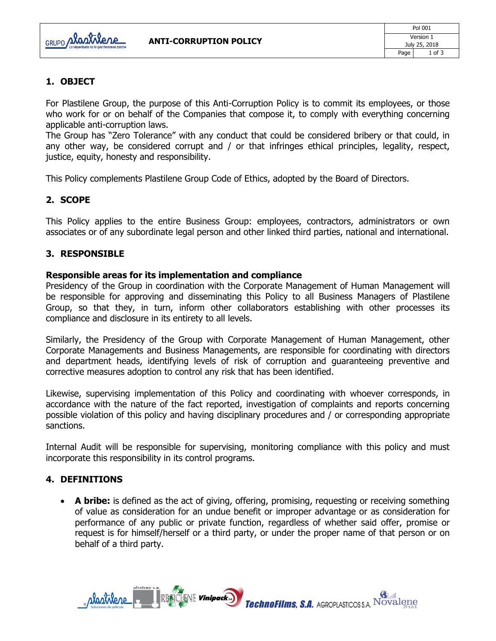

# **1. OBJECT**

For Plastilene Group, the purpose of this Anti-Corruption Policy is to commit its employees, or those who work for or on behalf of the Companies that compose it, to comply with everything concerning applicable anti-corruption laws.

The Group has "Zero Tolerance" with any conduct that could be considered bribery or that could, in any other way, be considered corrupt and / or that infringes ethical principles, legality, respect, justice, equity, honesty and responsibility.

This Policy complements Plastilene Group Code of Ethics, adopted by the Board of Directors.

### **2. SCOPE**

This Policy applies to the entire Business Group: employees, contractors, administrators or own associates or of any subordinate legal person and other linked third parties, national and international.

#### **3. RESPONSIBLE**

#### **Responsible areas for its implementation and compliance**

Presidency of the Group in coordination with the Corporate Management of Human Management will be responsible for approving and disseminating this Policy to all Business Managers of Plastilene Group, so that they, in turn, inform other collaborators establishing with other processes its compliance and disclosure in its entirety to all levels.

Similarly, the Presidency of the Group with Corporate Management of Human Management, other Corporate Managements and Business Managements, are responsible for coordinating with directors and department heads, identifying levels of risk of corruption and guaranteeing preventive and corrective measures adoption to control any risk that has been identified.

Likewise, supervising implementation of this Policy and coordinating with whoever corresponds, in accordance with the nature of the fact reported, investigation of complaints and reports concerning possible violation of this policy and having disciplinary procedures and / or corresponding appropriate sanctions.

Internal Audit will be responsible for supervising, monitoring compliance with this policy and must incorporate this responsibility in its control programs.

### **4. DEFINITIONS**

 **A bribe:** is defined as the act of giving, offering, promising, requesting or receiving something of value as consideration for an undue benefit or improper advantage or as consideration for performance of any public or private function, regardless of whether said offer, promise or request is for himself/herself or a third party, or under the proper name of that person or on behalf of a third party.

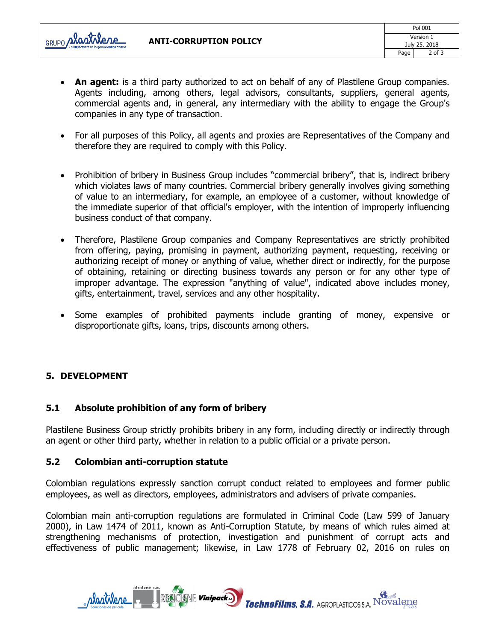

- **An agent:** is a third party authorized to act on behalf of any of Plastilene Group companies. Agents including, among others, legal advisors, consultants, suppliers, general agents, commercial agents and, in general, any intermediary with the ability to engage the Group's companies in any type of transaction.
- For all purposes of this Policy, all agents and proxies are Representatives of the Company and therefore they are required to comply with this Policy.
- Prohibition of bribery in Business Group includes "commercial bribery", that is, indirect bribery which violates laws of many countries. Commercial bribery generally involves giving something of value to an intermediary, for example, an employee of a customer, without knowledge of the immediate superior of that official's employer, with the intention of improperly influencing business conduct of that company.
- Therefore, Plastilene Group companies and Company Representatives are strictly prohibited from offering, paying, promising in payment, authorizing payment, requesting, receiving or authorizing receipt of money or anything of value, whether direct or indirectly, for the purpose of obtaining, retaining or directing business towards any person or for any other type of improper advantage. The expression "anything of value", indicated above includes money, gifts, entertainment, travel, services and any other hospitality.
- Some examples of prohibited payments include granting of money, expensive or disproportionate gifts, loans, trips, discounts among others.

# **5. DEVELOPMENT**

# **5.1 Absolute prohibition of any form of bribery**

Plastilene Business Group strictly prohibits bribery in any form, including directly or indirectly through an agent or other third party, whether in relation to a public official or a private person.

### **5.2 Colombian anti-corruption statute**

Colombian regulations expressly sanction corrupt conduct related to employees and former public employees, as well as directors, employees, administrators and advisers of private companies.

Colombian main anti-corruption regulations are formulated in Criminal Code (Law 599 of January 2000), in Law 1474 of 2011, known as Anti-Corruption Statute, by means of which rules aimed at strengthening mechanisms of protection, investigation and punishment of corrupt acts and effectiveness of public management; likewise, in Law 1778 of February 02, 2016 on rules on